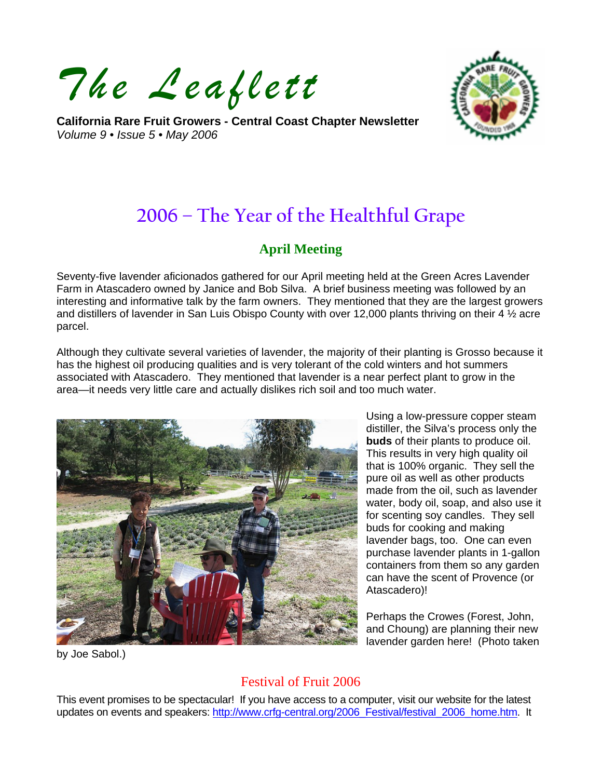*The Leaflett*

**California Rare Fruit Growers - Central Coast Chapter Newsletter**  *Volume 9 • Issue 5 • May 2006* 



# **2006 – The Year of the Healthful Grape**

# **April Meeting**

Seventy-five lavender aficionados gathered for our April meeting held at the Green Acres Lavender Farm in Atascadero owned by Janice and Bob Silva. A brief business meeting was followed by an interesting and informative talk by the farm owners. They mentioned that they are the largest growers and distillers of lavender in San Luis Obispo County with over 12,000 plants thriving on their 4 ½ acre parcel.

Although they cultivate several varieties of lavender, the majority of their planting is Grosso because it has the highest oil producing qualities and is very tolerant of the cold winters and hot summers associated with Atascadero. They mentioned that lavender is a near perfect plant to grow in the area—it needs very little care and actually dislikes rich soil and too much water.



Using a low-pressure copper steam distiller, the Silva's process only the **buds** of their plants to produce oil. This results in very high quality oil that is 100% organic. They sell the pure oil as well as other products made from the oil, such as lavender water, body oil, soap, and also use it for scenting soy candles. They sell buds for cooking and making lavender bags, too. One can even purchase lavender plants in 1-gallon containers from them so any garden can have the scent of Provence (or Atascadero)!

Perhaps the Crowes (Forest, John, and Choung) are planning their new lavender garden here! (Photo taken

by Joe Sabol.)

# Festival of Fruit 2006

This event promises to be spectacular! If you have access to a computer, visit our website for the latest updates on events and speakers: http://www.crfg-central.org/2006 Festival/festival 2006 home.htm. It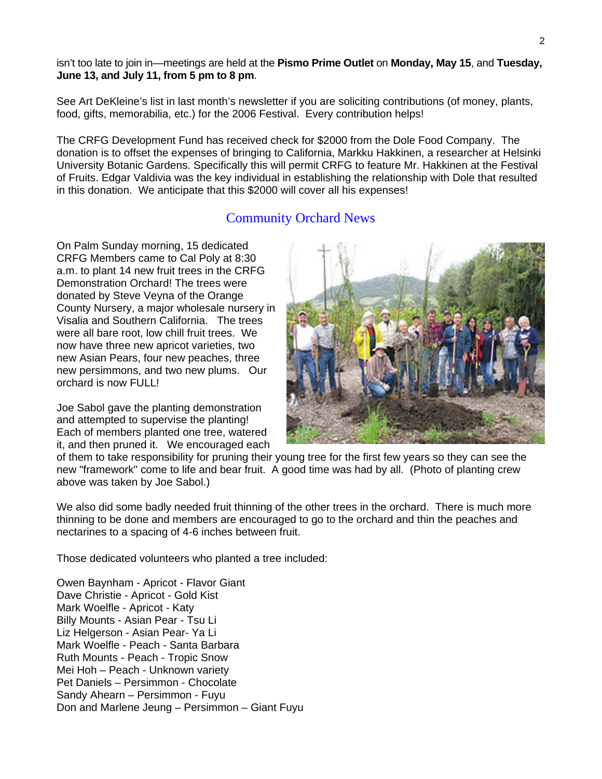isn't too late to join in—meetings are held at the **Pismo Prime Outlet** on **Monday, May 15**, and **Tuesday, June 13, and July 11, from 5 pm to 8 pm**.

See Art DeKleine's list in last month's newsletter if you are soliciting contributions (of money, plants, food, gifts, memorabilia, etc.) for the 2006 Festival. Every contribution helps!

The CRFG Development Fund has received check for \$2000 from the Dole Food Company. The donation is to offset the expenses of bringing to California, Markku Hakkinen, a researcher at Helsinki University Botanic Gardens. Specifically this will permit CRFG to feature Mr. Hakkinen at the Festival of Fruits. Edgar Valdivia was the key individual in establishing the relationship with Dole that resulted in this donation. We anticipate that this \$2000 will cover all his expenses!

# Community Orchard News

On Palm Sunday morning, 15 dedicated CRFG Members came to Cal Poly at 8:30 a.m. to plant 14 new fruit trees in the CRFG Demonstration Orchard! The trees were donated by Steve Veyna of the Orange County Nursery, a major wholesale nursery in Visalia and Southern California. The trees were all bare root, low chill fruit trees. We now have three new apricot varieties, two new Asian Pears, four new peaches, three new persimmons, and two new plums. Our orchard is now FULL!

Joe Sabol gave the planting demonstration and attempted to supervise the planting! Each of members planted one tree, watered it, and then pruned it. We encouraged each



of them to take responsibility for pruning their young tree for the first few years so they can see the new "framework" come to life and bear fruit. A good time was had by all. (Photo of planting crew above was taken by Joe Sabol.)

We also did some badly needed fruit thinning of the other trees in the orchard. There is much more thinning to be done and members are encouraged to go to the orchard and thin the peaches and nectarines to a spacing of 4-6 inches between fruit.

Those dedicated volunteers who planted a tree included:

Owen Baynham - Apricot - Flavor Giant Dave Christie - Apricot - Gold Kist Mark Woelfle - Apricot - Katy Billy Mounts - Asian Pear - Tsu Li Liz Helgerson - Asian Pear- Ya Li Mark Woelfle - Peach - Santa Barbara Ruth Mounts - Peach - Tropic Snow Mei Hoh – Peach - Unknown variety Pet Daniels – Persimmon - Chocolate Sandy Ahearn – Persimmon - Fuyu Don and Marlene Jeung – Persimmon – Giant Fuyu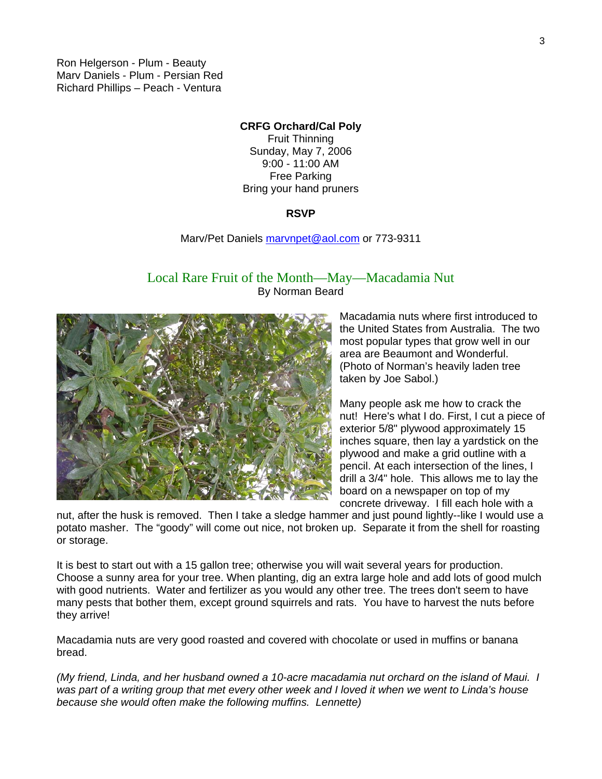Ron Helgerson - Plum - Beauty Marv Daniels - Plum - Persian Red Richard Phillips – Peach - Ventura

#### **CRFG Orchard/Cal Poly**

Fruit Thinning Sunday, May 7, 2006 9:00 - 11:00 AM Free Parking Bring your hand pruners

#### **RSVP**

#### Marv/Pet Daniels [marvnpet@aol.com](mailto:marvnpet@aol.com) or 773-9311

## Local Rare Fruit of the Month—May—Macadamia Nut By Norman Beard



Macadamia nuts where first introduced to the United States from Australia. The two most popular types that grow well in our area are Beaumont and Wonderful. (Photo of Norman's heavily laden tree taken by Joe Sabol.)

Many people ask me how to crack the nut! Here's what I do. First, I cut a piece of exterior 5/8" plywood approximately 15 inches square, then lay a yardstick on the plywood and make a grid outline with a pencil. At each intersection of the lines, I drill a 3/4" hole. This allows me to lay the board on a newspaper on top of my concrete driveway. I fill each hole with a

nut, after the husk is removed. Then I take a sledge hammer and just pound lightly--like I would use a potato masher. The "goody" will come out nice, not broken up. Separate it from the shell for roasting or storage.

It is best to start out with a 15 gallon tree; otherwise you will wait several years for production. Choose a sunny area for your tree. When planting, dig an extra large hole and add lots of good mulch with good nutrients. Water and fertilizer as you would any other tree. The trees don't seem to have many pests that bother them, except ground squirrels and rats. You have to harvest the nuts before they arrive!

Macadamia nuts are very good roasted and covered with chocolate or used in muffins or banana bread.

*(My friend, Linda, and her husband owned a 10-acre macadamia nut orchard on the island of Maui. I was part of a writing group that met every other week and I loved it when we went to Linda's house because she would often make the following muffins. Lennette)*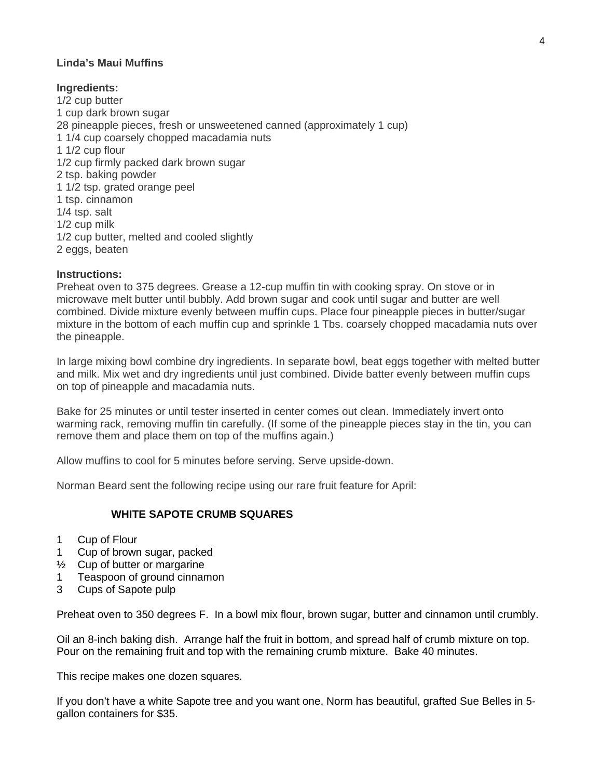#### **Linda's Maui Muffins**

#### **Ingredients:**

1/2 cup butter 1 cup dark brown sugar 28 pineapple pieces, fresh or unsweetened canned (approximately 1 cup) 1 1/4 cup coarsely chopped macadamia nuts 1 1/2 cup flour 1/2 cup firmly packed dark brown sugar 2 tsp. baking powder 1 1/2 tsp. grated orange peel 1 tsp. cinnamon 1/4 tsp. salt 1/2 cup milk 1/2 cup butter, melted and cooled slightly 2 eggs, beaten

#### **Instructions:**

Preheat oven to 375 degrees. Grease a 12-cup muffin tin with cooking spray. On stove or in microwave melt butter until bubbly. Add brown sugar and cook until sugar and butter are well combined. Divide mixture evenly between muffin cups. Place four pineapple pieces in butter/sugar mixture in the bottom of each muffin cup and sprinkle 1 Tbs. coarsely chopped macadamia nuts over the pineapple.

In large mixing bowl combine dry ingredients. In separate bowl, beat eggs together with melted butter and milk. Mix wet and dry ingredients until just combined. Divide batter evenly between muffin cups on top of pineapple and macadamia nuts.

Bake for 25 minutes or until tester inserted in center comes out clean. Immediately invert onto warming rack, removing muffin tin carefully. (If some of the pineapple pieces stay in the tin, you can remove them and place them on top of the muffins again.)

Allow muffins to cool for 5 minutes before serving. Serve upside-down.

Norman Beard sent the following recipe using our rare fruit feature for April:

### **WHITE SAPOTE CRUMB SQUARES**

- 1 Cup of Flour
- 1 Cup of brown sugar, packed
- ½ Cup of butter or margarine
- 1 Teaspoon of ground cinnamon
- 3 Cups of Sapote pulp

Preheat oven to 350 degrees F. In a bowl mix flour, brown sugar, butter and cinnamon until crumbly.

Oil an 8-inch baking dish. Arrange half the fruit in bottom, and spread half of crumb mixture on top. Pour on the remaining fruit and top with the remaining crumb mixture. Bake 40 minutes.

This recipe makes one dozen squares.

If you don't have a white Sapote tree and you want one, Norm has beautiful, grafted Sue Belles in 5 gallon containers for \$35.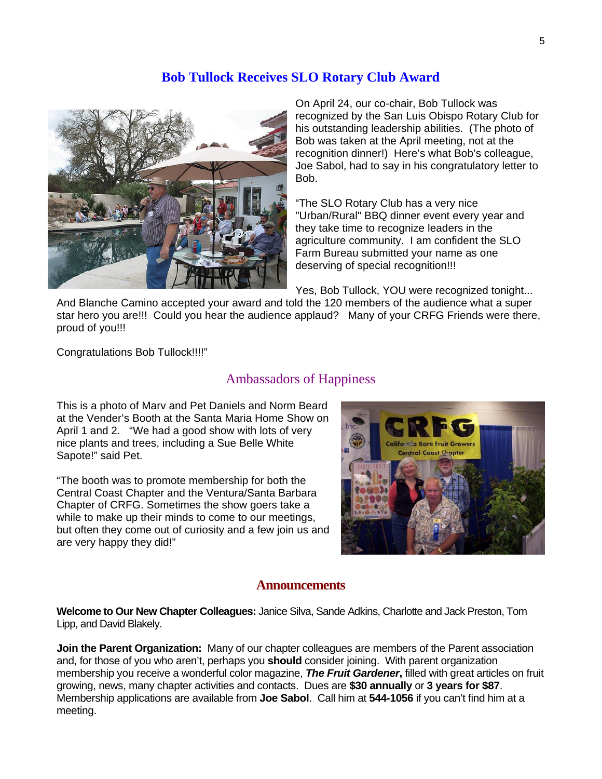## **Bob Tullock Receives SLO Rotary Club Award**



On April 24, our co-chair, Bob Tullock was recognized by the San Luis Obispo Rotary Club for his outstanding leadership abilities. (The photo of Bob was taken at the April meeting, not at the recognition dinner!) Here's what Bob's colleague, Joe Sabol, had to say in his congratulatory letter to Bob.

"The SLO Rotary Club has a very nice "Urban/Rural" BBQ dinner event every year and they take time to recognize leaders in the agriculture community. I am confident the SLO Farm Bureau submitted your name as one deserving of special recognition!!!

Yes, Bob Tullock, YOU were recognized tonight...

And Blanche Camino accepted your award and told the 120 members of the audience what a super star hero you are!!! Could you hear the audience applaud? Many of your CRFG Friends were there, proud of you!!!

Congratulations Bob Tullock!!!!"

## Ambassadors of Happiness

This is a photo of Marv and Pet Daniels and Norm Beard at the Vender's Booth at the Santa Maria Home Show on April 1 and 2. "We had a good show with lots of very nice plants and trees, including a Sue Belle White Sapote!" said Pet.

"The booth was to promote membership for both the Central Coast Chapter and the Ventura/Santa Barbara Chapter of CRFG. Sometimes the show goers take a while to make up their minds to come to our meetings, but often they come out of curiosity and a few join us and are very happy they did!"



#### **Announcements**

**Welcome to Our New Chapter Colleagues:** Janice Silva, Sande Adkins, Charlotte and Jack Preston, Tom Lipp, and David Blakely.

**Join the Parent Organization:** Many of our chapter colleagues are members of the Parent association and, for those of you who aren't, perhaps you **should** consider joining. With parent organization membership you receive a wonderful color magazine, *The Fruit Gardener***,** filled with great articles on fruit growing, news, many chapter activities and contacts. Dues are **\$30 annually** or **3 years for \$87**. Membership applications are available from **Joe Sabol**. Call him at **544-1056** if you can't find him at a meeting.